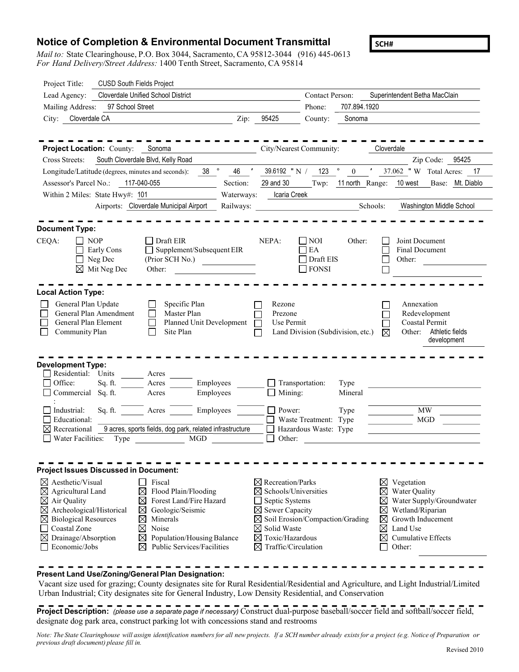## Notice of Completion & Environmental Document Transmittal

Mail to: State Clearinghouse, P.O. Box 3044, Sacramento, CA 95812-3044 (916) 445-0613 For Hand Delivery/Street Address: 1400 Tenth Street, Sacramento, CA 95814

| Project Title:                                     | <b>CUSD South Fields Project</b>                                        |                                                                |                                                    |
|----------------------------------------------------|-------------------------------------------------------------------------|----------------------------------------------------------------|----------------------------------------------------|
| Lead Agency:                                       | <b>Cloverdale Unified School District</b>                               | Contact Person:                                                | Superintendent Betha MacClain                      |
| Mailing Address:                                   | 97 School Street                                                        | 707.894.1920<br>Phone:                                         |                                                    |
| Cloverdale CA<br>City:                             | Zip:                                                                    | 95425<br>County:<br>Sonoma                                     |                                                    |
|                                                    |                                                                         |                                                                |                                                    |
|                                                    |                                                                         |                                                                |                                                    |
| Project Location: County: Sonoma                   |                                                                         | City/Nearest Community:                                        | Cloverdale                                         |
| Cross Streets:                                     | South Cloverdale Blvd, Kelly Road                                       |                                                                | Zip Code: 95425                                    |
| Longitude/Latitude (degrees, minutes and seconds): | $38$ $^{\circ}$<br>46                                                   | $123$ $^{\circ}$<br>39.6192 "N/<br>$\boldsymbol{0}$            | 37.062 "W Total Acres: 17                          |
| Assessor's Parcel No.:                             | 117-040-055<br>Section:                                                 | 29 and 30<br>Twp:                                              | 11 north Range: 10 west<br>Base: Mt. Diablo        |
| Within 2 Miles: State Hwy#: 101                    | Waterways:                                                              | Icaria Creek                                                   |                                                    |
|                                                    | Airports: Cloverdale Municipal Airport<br>Railways:                     |                                                                | Schools:<br>Washington Middle School               |
|                                                    |                                                                         |                                                                |                                                    |
| <b>Document Type:</b>                              |                                                                         |                                                                |                                                    |
| <b>NOP</b><br>CEQA:<br>Early Cons                  | Draft EIR<br>$\Box$ Supplement/Subsequent EIR                           | NEPA:<br><b>NOI</b><br>Other:<br>EA                            | Joint Document<br><b>Final Document</b>            |
| Neg Dec                                            | (Prior SCH No.)                                                         | Draft EIS                                                      | Other:                                             |
| $\boxtimes$ Mit Neg Dec                            | Other:                                                                  | <b>FONSI</b>                                                   |                                                    |
|                                                    |                                                                         |                                                                |                                                    |
| <b>Local Action Type:</b>                          |                                                                         |                                                                |                                                    |
| General Plan Update                                | Specific Plan                                                           | Rezone                                                         | Annexation                                         |
| General Plan Amendment                             | Master Plan                                                             | Prezone                                                        | Redevelopment                                      |
| General Plan Element                               | Planned Unit Development                                                | Use Permit                                                     | Coastal Permit                                     |
| Community Plan                                     | Site Plan                                                               | Land Division (Subdivision, etc.)                              | Other: Athletic fields<br>⊠                        |
|                                                    |                                                                         |                                                                | development                                        |
|                                                    |                                                                         |                                                                |                                                    |
| <b>Development Type:</b><br>Residential: Units     |                                                                         |                                                                |                                                    |
| Office:<br>Sq. ft.                                 | Acres<br>Employees<br>Acres                                             | Transportation:<br>Type                                        |                                                    |
| Commercial Sq. ft.                                 | Employees<br>Acres                                                      | Mining:<br>Mineral                                             |                                                    |
|                                                    |                                                                         |                                                                |                                                    |
| Sq. ft.<br>Industrial:                             | Acres<br>Employees                                                      | Power:<br>Type                                                 | <b>MW</b>                                          |
| Educational:<br>$\boxtimes$ Recreational           | 9 acres, sports fields, dog park, related infrastructure                | Waste Treatment: Type                                          | $\rm MGD$                                          |
| Water Facilities:<br>Type                          | <b>MGD</b>                                                              | Hazardous Waste: Type<br>Other:<br>$\Box$                      |                                                    |
|                                                    |                                                                         |                                                                |                                                    |
|                                                    |                                                                         |                                                                |                                                    |
| <b>Project Issues Discussed in Document:</b>       |                                                                         |                                                                |                                                    |
| $\boxtimes$ Aesthetic/Visual                       | Fiscal                                                                  | $\boxtimes$ Recreation/Parks                                   | $\bowtie$<br>Vegetation                            |
| $\boxtimes$ Agricultural Land                      | Flood Plain/Flooding<br>⊠                                               | $\boxtimes$ Schools/Universities                               | Water Quality<br>$\boxtimes$                       |
| $\boxtimes$ Air Quality                            | $\boxtimes$<br>Forest Land/Fire Hazard                                  | Septic Systems                                                 | Water Supply/Groundwater<br>⊠                      |
| $\boxtimes$ Archeological/Historical               | ⊠<br>Geologic/Seismic                                                   | $\boxtimes$ Sewer Capacity                                     | Wetland/Riparian<br>⊠                              |
| <b>Biological Resources</b><br>⊠                   | $\boxtimes$<br>Minerals                                                 | $\boxtimes$ Soil Erosion/Compaction/Grading                    | Growth Inducement<br>⊠                             |
| Coastal Zone                                       | $\boxtimes$<br>Noise                                                    | $\boxtimes$ Solid Waste                                        | ⊠<br>Land Use                                      |
| Drainage/Absorption<br>Economic/Jobs               | Population/Housing Balance<br>$\boxtimes$<br>Public Services/Facilities | $\boxtimes$ Toxic/Hazardous<br>$\boxtimes$ Traffic/Circulation | $\boxtimes$<br><b>Cumulative Effects</b><br>Other: |
|                                                    |                                                                         |                                                                |                                                    |
|                                                    |                                                                         |                                                                |                                                    |
|                                                    | Present Land Use/Zoning/General Plan Designation:                       |                                                                |                                                    |

Vacant size used for grazing; County designates site for Rural Residential/Residential and Agriculture, and Light Industrial/Limited Urban Industrial; City designates site for General Industry, Low Density Residential, and Conservation

Project Description: (please use a separate page if necessary) Construct dual-purpose baseball/soccer field and softball/soccer field, designate dog park area, construct parking lot with concessions stand and restrooms

Note: The State Clearinghouse will assign identification numbers for all new projects. If a SCH number already exists for a project (e.g. Notice of Preparation or previous draft document) please fill in.

SCH#